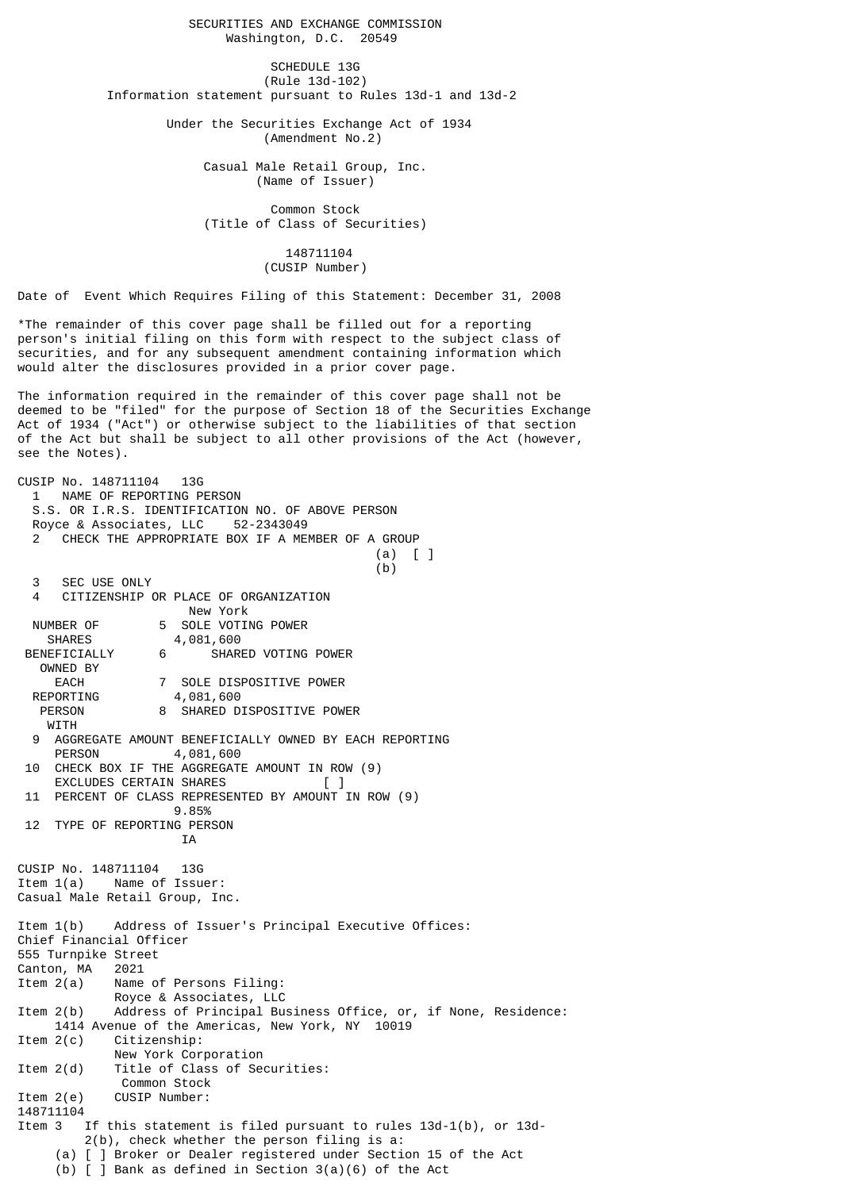SECURITIES AND EXCHANGE COMMISSION Washington, D.C. 20549

SCHEDULE 13G (Rule 13d-102) Information statement pursuant to Rules 13d-1 and 13d-2

> Under the Securities Exchange Act of 1934 (Amendment No.2)

> > Casual Male Retail Group, Inc. (Name of Issuer)

 Common Stock (Title of Class of Securities)

> 148711104 (CUSIP Number)

Date of Event Which Requires Filing of this Statement: December 31, 2008

\*The remainder of this cover page shall be filled out for a reporting person's initial filing on this form with respect to the subject class of securities, and for any subsequent amendment containing information which would alter the disclosures provided in a prior cover page.

The information required in the remainder of this cover page shall not be deemed to be "filed" for the purpose of Section 18 of the Securities Exchange Act of 1934 ("Act") or otherwise subject to the liabilities of that section of the Act but shall be subject to all other provisions of the Act (however, see the Notes).

CUSIP No. 148711104 13G 1 NAME OF REPORTING PERSON S.S. OR I.R.S. IDENTIFICATION NO. OF ABOVE PERSON Royce & Associates, LLC 52-2343049 CHECK THE APPROPRIATE BOX IF A MEMBER OF A GROUP (a) [ ]  $(b)$  3 SEC USE ONLY 4 CITIZENSHIP OR PLACE OF ORGANIZATION New York NUMBER OF 5 SOLE VOTING POWER<br>SHARES 4,081,600 4,081,600 BENEFICIALLY 6 SHARED VOTING POWER OWNED BY EACH 7 SOLE DISPOSITIVE POWER<br>REPORTING 4,081,600 4,081,600 PERSON 8 SHARED DISPOSITIVE POWER **WITH** AGGREGATE AMOUNT BENEFICIALLY OWNED BY EACH REPORTING<br>PERSON 4 081 600 4,081,600 10 CHECK BOX IF THE AGGREGATE AMOUNT IN ROW (9) EXCLUDES CERTAIN SHARES 11 PERCENT OF CLASS REPRESENTED BY AMOUNT IN ROW (9) 9.85% 12 TYPE OF REPORTING PERSON IA CUSIP No. 148711104 13G Item 1(a) Name of Issuer: Casual Male Retail Group, Inc. Item 1(b) Address of Issuer's Principal Executive Offices: Chief Financial Officer 555 Turnpike Street Canton, MA 2021<br>Item 2(a) Name Name of Persons Filing: Royce & Associates, LLC<br>Item 2(b) Address of Principal Bu Address of Principal Business Office, or, if None, Residence: 1414 Avenue of the Americas, New York, NY 10019 Item 2(c) Citizenship: New York Corporation Item 2(d) Title of Class of Securities: Common Stock Item 2(e) CUSIP Number: 148711104 Item 3 If this statement is filed pursuant to rules 13d-1(b), or 13d- 2(b), check whether the person filing is a: (a) [ ] Broker or Dealer registered under Section 15 of the Act (b)  $\overline{1}$  Bank as defined in Section 3(a)(6) of the Act